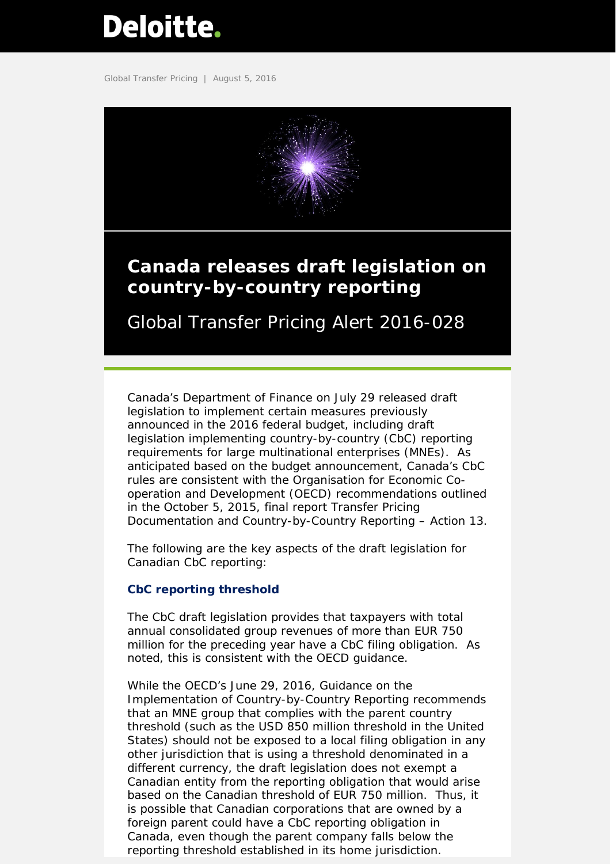# <span id="page-0-0"></span>**Deloitte.**

Global Transfer Pricing | August 5, 2016



# **Canada releases draft legislation on country-by-country reporting**

Global Transfer Pricing Alert 2016-028

Canada's Department of Finance on July 29 released draft legislation to implement certain measures previously announced in the 2016 federal budget, including draft legislation implementing country-by-country (CbC) reporting requirements for large multinational enterprises (MNEs). As anticipated based on the budget announcement, Canada's CbC rules are consistent with the Organisation for Economic Cooperation and Development (OECD) recommendations outlined in the October 5, 2015, final report *Transfer Pricing Documentation and Country-by-Country Reporting – Action 13*.

The following are the key aspects of the draft legislation for Canadian CbC reporting:

# **CbC reporting threshold**

The CbC draft legislation provides that taxpayers with total annual consolidated group revenues of more than EUR 750 million for the preceding year have a CbC filing obligation. As noted, this is consistent with the OECD guidance.

While the OECD's June 29, 2016, *Guidance on the Implementation of Country-by-Country Reporting* recommends that an MNE group that complies with the parent country threshold (such as the USD 850 million threshold in the United States) should not be exposed to a local filing obligation in any other jurisdiction that is using a threshold denominated in a different currency, the draft legislation does not exempt a Canadian entity from the reporting obligation that would arise based on the Canadian threshold of EUR 750 million. Thus, it is possible that Canadian corporations that are owned by a foreign parent could have a CbC reporting obligation in Canada, even though the parent company falls below the reporting threshold established in its home jurisdiction.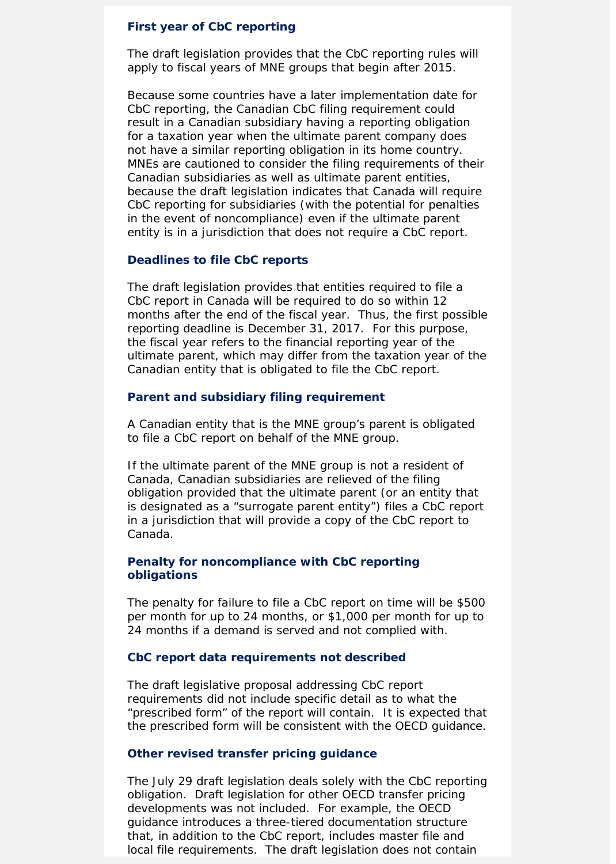## **First year of CbC reporting**

The draft legislation provides that the CbC reporting rules will apply to fiscal years of MNE groups that begin after 2015.

Because some countries have a later implementation date for CbC reporting, the Canadian CbC filing requirement could result in a Canadian subsidiary having a reporting obligation for a taxation year when the ultimate parent company does not have a similar reporting obligation in its home country. MNEs are cautioned to consider the filing requirements of their Canadian subsidiaries as well as ultimate parent entities, because the draft legislation indicates that Canada will require CbC reporting for subsidiaries (with the potential for penalties in the event of noncompliance) even if the ultimate parent entity is in a jurisdiction that does not require a CbC report.

### **Deadlines to file CbC reports**

The draft legislation provides that entities required to file a CbC report in Canada will be required to do so within 12 months after the end of the fiscal year. Thus, the first possible reporting deadline is December 31, 2017. For this purpose, the fiscal year refers to the financial reporting year of the ultimate parent, which may differ from the taxation year of the Canadian entity that is obligated to file the CbC report.

#### **Parent and subsidiary filing requirement**

A Canadian entity that is the MNE group's parent is obligated to file a CbC report on behalf of the MNE group.

If the ultimate parent of the MNE group is not a resident of Canada, Canadian subsidiaries are relieved of the filing obligation provided that the ultimate parent (or an entity that is designated as a "surrogate parent entity") files a CbC report in a jurisdiction that will provide a copy of the CbC report to Canada.

# **Penalty for noncompliance with CbC reporting obligations**

The penalty for failure to file a CbC report on time will be \$500 per month for up to 24 months, or \$1,000 per month for up to 24 months if a demand is served and not complied with.

# **CbC report data requirements not described**

The draft legislative proposal addressing CbC report requirements did not include specific detail as to what the "prescribed form" of the report will contain. It is expected that the prescribed form will be consistent with the OECD guidance.

## **Other revised transfer pricing guidance**

The July 29 draft legislation deals solely with the CbC reporting obligation. Draft legislation for other OECD transfer pricing developments was not included. For example, the OECD guidance introduces a three-tiered documentation structure that, in addition to the CbC report, includes master file and local file requirements. The draft legislation does not contain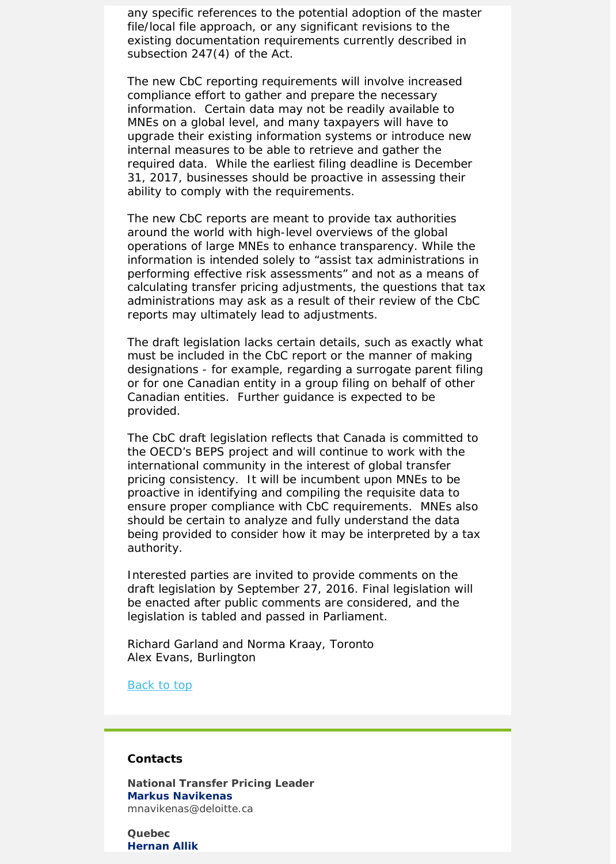any specific references to the potential adoption of the master file/local file approach, or any significant revisions to the existing documentation requirements currently described in subsection 247(4) of the Act.

The new CbC reporting requirements will involve increased compliance effort to gather and prepare the necessary information. Certain data may not be readily available to MNEs on a global level, and many taxpayers will have to upgrade their existing information systems or introduce new internal measures to be able to retrieve and gather the required data. While the earliest filing deadline is December 31, 2017, businesses should be proactive in assessing their ability to comply with the requirements.

The new CbC reports are meant to provide tax authorities around the world with high-level overviews of the global operations of large MNEs to enhance transparency. While the information is intended solely to "assist tax administrations in performing effective risk assessments" and not as a means of calculating transfer pricing adjustments, the questions that tax administrations may ask as a result of their review of the CbC reports may ultimately lead to adjustments.

The draft legislation lacks certain details, such as exactly what must be included in the CbC report or the manner of making designations - for example, regarding a surrogate parent filing or for one Canadian entity in a group filing on behalf of other Canadian entities. Further guidance is expected to be provided.

The CbC draft legislation reflects that Canada is committed to the OECD's BEPS project and will continue to work with the international community in the interest of global transfer pricing consistency. It will be incumbent upon MNEs to be proactive in identifying and compiling the requisite data to ensure proper compliance with CbC requirements. MNEs also should be certain to analyze and fully understand the data being provided to consider how it may be interpreted by a tax authority.

Interested parties are invited to provide comments on the draft legislation by September 27, 2016. Final legislation will be enacted after public comments are considered, and the legislation is tabled and passed in Parliament.

*Richard Garland and Norma Kraay, Toronto Alex Evans, Burlington*

Back to top

#### **Contacts**

**National Transfer Pricing Leader [Markus Navikenas](mailto:mnavikenas@deloitte.ca)** mnavikenas@deloitte.ca

**Quebec [Hernan Allik](mailto:bbarsalo@deloitte.ca)**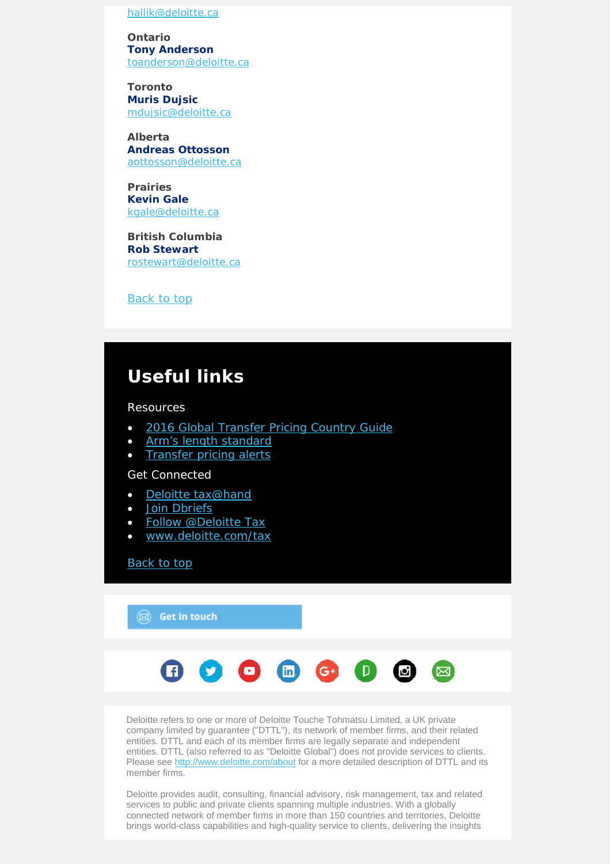[hallik@deloitte.ca](mailto:hallik@deloitte.ca)

**Ontario [Tony Anderson](mailto:toanderson@deloitte.ca)** [toanderson@deloitte.ca](mailto:toanderson@deloitte.ca)

**Toronto [Muris Dujsic](mailto:mdujsic@deloitte.ca)** [mdujsic@deloitte.ca](mailto:mdujsic@deloitte.ca)

**Alberta [Andreas Ottosson](mailto:mnavikenas@deloitte.ca)** [aottosson@deloitte.ca](mailto:aottosson@deloitte.ca)

**Prairies [Kevin](mailto:rostewart@deloitte.ca) Gale** [kgale@deloitte.ca](mailto:kgale@deloitte.ca)

**British Columbia [Rob Stewart](mailto:rostewart@deloitte.ca)** [rostewart@deloitte.ca](mailto:rostewart@deloitte.ca)

Back to top

# **Useful links**

Resources

- [2016 Global Transfer Pricing Country Guide](https://www2.deloitte.com/us/en/pages/tax/articles/global-transfer-pricing-country-guide.html)
- [Arm's length standard](http://www2.deloitte.com/global/en/pages/tax/articles/arms-length-standard.html)
- [Transfer pricing alerts](http://www2.deloitte.com/global/en/pages/tax/articles/global-transfer-pricing-alerts.html)

Get Connected

- [Deloitte tax@hand](http://www2.deloitte.com/us/en/pages/tax/articles/deloitte-tax-at-hand-mobile-app.html)
- [Join Dbriefs](https://www2.deloitte.com/global/en/pages/about-deloitte/articles/dbriefs-webcasts.html)
- [Follow @Deloitte Tax](http://www.twitter.com/deloittetax)
- [www.deloitte.com/tax](http://www.deloitte.com/tax)

[Back to top](#page-0-0)

 $\circledR$  Get in touch



Deloitte refers to one or more of Deloitte Touche Tohmatsu Limited, a UK private company limited by guarantee ("DTTL"), its network of member firms, and their related entities. DTTL and each of its member firms are legally separate and independent entities. DTTL (also referred to as "Deloitte Global") does not provide services to clients. Please see<http://www.deloitte.com/about> for a more detailed description of DTTL and its member firms.

Deloitte provides audit, consulting, financial advisory, risk management, tax and related services to public and private clients spanning multiple industries. With a globally connected network of member firms in more than 150 countries and territories, Deloitte brings world-class capabilities and high-quality service to clients, delivering the insights